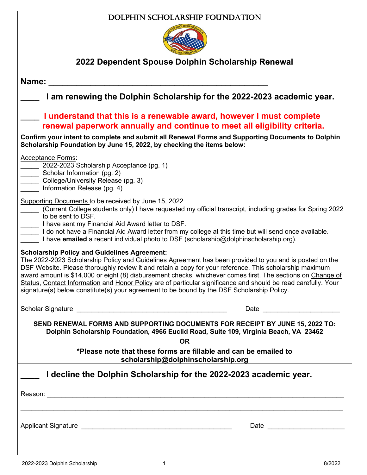### Dolphin Scholarship Foundation



# **2022 Dependent Spouse Dolphin Scholarship Renewal**

| Name:                                                                                                                                                                                                                                                                                                                                                                                                                                                                                                                                                                                                    |                                                                                                                                                                                                                                |  |
|----------------------------------------------------------------------------------------------------------------------------------------------------------------------------------------------------------------------------------------------------------------------------------------------------------------------------------------------------------------------------------------------------------------------------------------------------------------------------------------------------------------------------------------------------------------------------------------------------------|--------------------------------------------------------------------------------------------------------------------------------------------------------------------------------------------------------------------------------|--|
| I am renewing the Dolphin Scholarship for the 2022-2023 academic year.                                                                                                                                                                                                                                                                                                                                                                                                                                                                                                                                   |                                                                                                                                                                                                                                |  |
| I understand that this is a renewable award, however I must complete<br>renewal paperwork annually and continue to meet all eligibility criteria.                                                                                                                                                                                                                                                                                                                                                                                                                                                        |                                                                                                                                                                                                                                |  |
| Confirm your intent to complete and submit all Renewal Forms and Supporting Documents to Dolphin<br>Scholarship Foundation by June 15, 2022, by checking the items below:                                                                                                                                                                                                                                                                                                                                                                                                                                |                                                                                                                                                                                                                                |  |
| <b>Acceptance Forms:</b><br>2022-2023 Scholarship Acceptance (pg. 1)<br>Scholar Information (pg. 2)<br>College/University Release (pg. 3)<br>Information Release (pg. 4)                                                                                                                                                                                                                                                                                                                                                                                                                                 |                                                                                                                                                                                                                                |  |
| Supporting Documents to be received by June 15, 2022<br>(Current College students only) I have requested my official transcript, including grades for Spring 2022<br>to be sent to DSF.<br>I have sent my Financial Aid Award letter to DSF.<br>I do not have a Financial Aid Award letter from my college at this time but will send once available.<br>I have <b>emailed</b> a recent individual photo to DSF (scholarship@dolphinscholarship.org).                                                                                                                                                    |                                                                                                                                                                                                                                |  |
| <b>Scholarship Policy and Guidelines Agreement:</b><br>The 2022-2023 Scholarship Policy and Guidelines Agreement has been provided to you and is posted on the<br>DSF Website. Please thoroughly review it and retain a copy for your reference. This scholarship maximum<br>award amount is \$14,000 or eight (8) disbursement checks, whichever comes first. The sections on Change of<br>Status, Contact Information and Honor Policy are of particular significance and should be read carefully. Your<br>signature(s) below constitute(s) your agreement to be bound by the DSF Scholarship Policy. |                                                                                                                                                                                                                                |  |
|                                                                                                                                                                                                                                                                                                                                                                                                                                                                                                                                                                                                          | Date and the contract of the contract of the contract of the contract of the contract of the contract of the contract of the contract of the contract of the contract of the contract of the contract of the contract of the c |  |
| SEND RENEWAL FORMS AND SUPPORTING DOCUMENTS FOR RECEIPT BY JUNE 15, 2022 TO:<br>Dolphin Scholarship Foundation, 4966 Euclid Road, Suite 109, Virginia Beach, VA 23462<br>0R.                                                                                                                                                                                                                                                                                                                                                                                                                             |                                                                                                                                                                                                                                |  |
| *Please note that these forms are fillable and can be emailed to<br>scholarship@dolphinscholarship.org                                                                                                                                                                                                                                                                                                                                                                                                                                                                                                   |                                                                                                                                                                                                                                |  |
| I decline the Dolphin Scholarship for the 2022-2023 academic year.                                                                                                                                                                                                                                                                                                                                                                                                                                                                                                                                       |                                                                                                                                                                                                                                |  |
|                                                                                                                                                                                                                                                                                                                                                                                                                                                                                                                                                                                                          |                                                                                                                                                                                                                                |  |
|                                                                                                                                                                                                                                                                                                                                                                                                                                                                                                                                                                                                          |                                                                                                                                                                                                                                |  |
|                                                                                                                                                                                                                                                                                                                                                                                                                                                                                                                                                                                                          | Date __________________________                                                                                                                                                                                                |  |
|                                                                                                                                                                                                                                                                                                                                                                                                                                                                                                                                                                                                          |                                                                                                                                                                                                                                |  |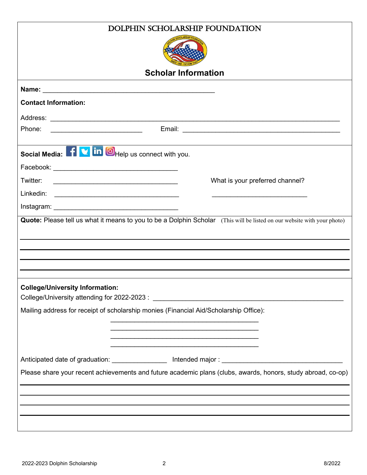| DOLPHIN SCHOLARSHIP FOUNDATION                                                                                                    |                                                                                                                         |  |
|-----------------------------------------------------------------------------------------------------------------------------------|-------------------------------------------------------------------------------------------------------------------------|--|
|                                                                                                                                   |                                                                                                                         |  |
|                                                                                                                                   |                                                                                                                         |  |
| <b>Scholar Information</b>                                                                                                        |                                                                                                                         |  |
|                                                                                                                                   |                                                                                                                         |  |
| <b>Contact Information:</b>                                                                                                       |                                                                                                                         |  |
|                                                                                                                                   |                                                                                                                         |  |
| Phone:                                                                                                                            |                                                                                                                         |  |
| Social Media: Five in OHelp us connect with you.                                                                                  |                                                                                                                         |  |
|                                                                                                                                   |                                                                                                                         |  |
| Twitter:<br><u> 1989 - Johann Barbara, martin amerikan basal dan berasal dan berasal dalam basal dalam basal dalam basal dala</u> | What is your preferred channel?                                                                                         |  |
|                                                                                                                                   |                                                                                                                         |  |
|                                                                                                                                   |                                                                                                                         |  |
|                                                                                                                                   | Quote: Please tell us what it means to you to be a Dolphin Scholar (This will be listed on our website with your photo) |  |
|                                                                                                                                   |                                                                                                                         |  |
|                                                                                                                                   |                                                                                                                         |  |
|                                                                                                                                   |                                                                                                                         |  |
|                                                                                                                                   |                                                                                                                         |  |
| <b>College/University Information:</b>                                                                                            |                                                                                                                         |  |
| Mailing address for receipt of scholarship monies (Financial Aid/Scholarship Office):                                             |                                                                                                                         |  |
|                                                                                                                                   |                                                                                                                         |  |
|                                                                                                                                   |                                                                                                                         |  |
|                                                                                                                                   |                                                                                                                         |  |
|                                                                                                                                   |                                                                                                                         |  |
| Please share your recent achievements and future academic plans (clubs, awards, honors, study abroad, co-op)                      |                                                                                                                         |  |
|                                                                                                                                   | and the control of the control of the control of the control of the control of the control of the control of the        |  |
|                                                                                                                                   |                                                                                                                         |  |
|                                                                                                                                   |                                                                                                                         |  |
|                                                                                                                                   |                                                                                                                         |  |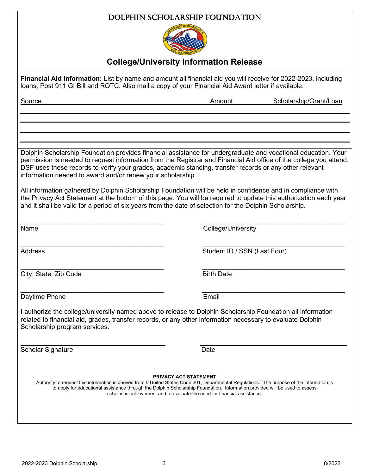

#### **College/University Information Release**

**Financial Aid Information:** List by name and amount all financial aid you will receive for 2022-2023, including loans, Post 911 GI Bill and ROTC. Also mail a copy of your Financial Aid Award letter if available. Source Amount Source Amount Scholarship/Grant/Loan Dolphin Scholarship Foundation provides financial assistance for undergraduate and vocational education. Your permission is needed to request information from the Registrar and Financial Aid office of the college you attend. DSF uses these records to verify your grades, academic standing, transfer records or any other relevant information needed to award and/or renew your scholarship. All information gathered by Dolphin Scholarship Foundation will be held in confidence and in compliance with the Privacy Act Statement at the bottom of this page. You will be required to update this authorization each year and it shall be valid for a period of six years from the date of selection for the Dolphin Scholarship.  $\_$  , and the contribution of the contribution of  $\overline{\mathcal{L}}$  , and  $\overline{\mathcal{L}}$  , and  $\overline{\mathcal{L}}$  , and  $\overline{\mathcal{L}}$  , and  $\overline{\mathcal{L}}$ Name College/University \_\_\_\_\_\_\_\_\_\_\_\_\_\_\_\_\_\_\_\_\_\_\_\_\_\_\_\_\_\_\_\_\_\_\_\_\_\_\_ \_\_\_\_\_\_\_\_\_\_\_\_\_\_\_\_\_\_\_\_\_\_\_\_\_\_\_\_\_\_\_\_\_\_\_\_\_\_\_ Address **Student ID / SSN (Last Four)** \_\_\_\_\_\_\_\_\_\_\_\_\_\_\_\_\_\_\_\_\_\_\_\_\_\_\_\_\_\_\_\_\_\_\_\_\_\_\_ \_\_\_\_\_\_\_\_\_\_\_\_\_\_\_\_\_\_\_\_\_\_\_\_\_\_\_\_\_\_\_\_\_\_\_\_\_\_\_ City, State, Zip Code Birth Date  $\_$  , and the contribution of the contribution of  $\overline{\mathcal{L}}$  , and  $\overline{\mathcal{L}}$  , and  $\overline{\mathcal{L}}$  , and  $\overline{\mathcal{L}}$  , and  $\overline{\mathcal{L}}$ Daytime Phone **Email** I authorize the college/university named above to release to Dolphin Scholarship Foundation all information related to financial aid, grades, transfer records, or any other information necessary to evaluate Dolphin Scholarship program services.  $\overline{\phantom{a}}$  , and the contract of the contract of the contract of the contract of the contract of the contract of the contract of the contract of the contract of the contract of the contract of the contract of the contrac Scholar Signature Date **PRIVACY ACT STATEMENT** Authority to request this information is derived from 5 United States Code 301, Departmental Regulations. The purpose of the information is to apply for educational assistance through the Dolphin Scholarship Foundation. Information provided will be used to assess scholastic achievement and to evaluate the need for financial assistance.